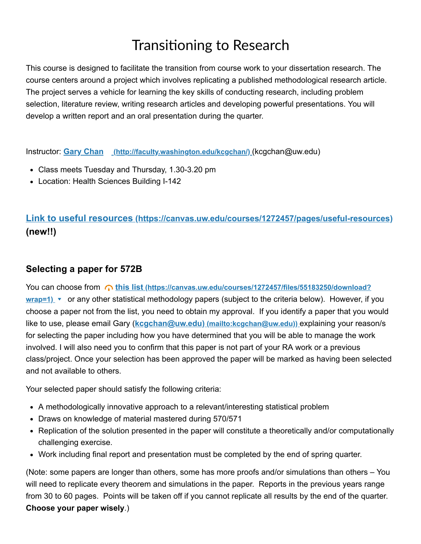## Transitioning to Research

This course is designed to facilitate the transition from course work to your dissertation research. The course centers around a project which involves replicating a published methodological research article. The project serves a vehicle for learning the key skills of conducting research, including problem selection, literature review, writing research articles and developing powerful presentations. You will develop a written report and an oral presentation during the quarter.

Instructor: **Gary Chan [\(http://faculty.washington.edu/kcgchan/\)](http://faculty.washington.edu/kcgchan/)** (kcgchan@uw.edu)

- Class meets Tuesday and Thursday, 1.30-3.20 pm
- Location: Health Sciences Building I-142

## **Link to useful resources [\(https://canvas.uw.edu/courses/1272457/pages/useful-resources\)](https://canvas.uw.edu/courses/1272457/pages/useful-resources) (new!!)**

## **Selecting a paper for 572B**

You can choose from **this list (https://canvas.uw.edu/courses/1272457/files/55183250/download?** wrap=1) v [or any other statistical methodology papers \(subject to the criteria below\). However, if](https://canvas.uw.edu/courses/1272457/files/55183250/download?wrap=1) you choose a paper not from the list, you need to obtain my approval. If you identify a paper that you would like to use, please email Gary (**kcgchan@uw.edu) [\(mailto:kcgchan@uw.edu\)\)](mailto:kcgchan@uw.edu))** explaining your reason/s for selecting the paper including how you have determined that you will be able to manage the work involved. I will also need you to confirm that this paper is not part of your RA work or a previous class/project. Once your selection has been approved the paper will be marked as having been selected and not available to others.

Your selected paper should satisfy the following criteria:

- A methodologically innovative approach to a relevant/interesting statistical problem
- Draws on knowledge of material mastered during 570/571
- Replication of the solution presented in the paper will constitute a theoretically and/or computationally challenging exercise.
- Work including final report and presentation must be completed by the end of spring quarter.

(Note: some papers are longer than others, some has more proofs and/or simulations than others – You will need to replicate every theorem and simulations in the paper. Reports in the previous years range from 30 to 60 pages. Points will be taken off if you cannot replicate all results by the end of the quarter. **Choose your paper wisely**.)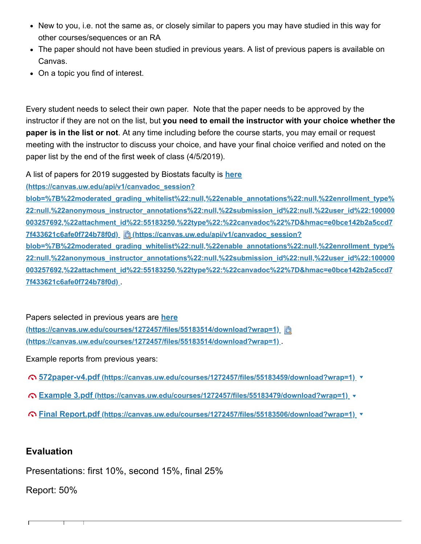- New to you, i.e. not the same as, or closely similar to papers you may have studied in this way for other courses/sequences or an RA
- The paper should not have been studied in previous years. A list of previous papers is available on Canvas.
- On a topic you find of interest.

Every student needs to select their own paper. Note that the paper needs to be approved by the instructor if they are not on the list, but **you need to email the instructor with your choice whether the paper is in the list or not**. At any time including before the course starts, you may email or request meeting with the instructor to discuss your choice, and have your final choice verified and noted on the paper list by the end of the first week of class (4/5/2019).

A list of papers for 2019 suggested by Biostats faculty is **here**

**(https://canvas.uw.edu/api/v1/canvadoc\_session?**

**blob=%7B%22moderated\_grading\_whitelist%22:null,%22enable\_annotations%22:null,%22enrollment\_type% [22:null,%22anonymous\\_instructor\\_annotations%22:null,%22submission\\_id%22:null,%22user\\_id%22:100000](https://canvas.uw.edu/api/v1/canvadoc_session?blob=%7B%22moderated_grading_whitelist%22:null,%22enable_annotations%22:null,%22enrollment_type%22:null,%22anonymous_instructor_annotations%22:null,%22submission_id%22:null,%22user_id%22:100000003257692,%22attachment_id%22:55183250,%22type%22:%22canvadoc%22%7D&hmac=e0bce142b2a5ccd77f433621c6afe0f724b78f0d) 003257692,%22attachment\_id%22:55183250,%22type%22:%22canvadoc%22%7D&hmac=e0bce142b2a5ccd7 7f433621c6afe0f724b78f0d) (https://canvas.uw.edu/api/v1/canvadoc\_session? blob=%7B%22moderated\_grading\_whitelist%22:null,%22enable\_annotations%22:null,%22enrollment\_type%**

**[22:null,%22anonymous\\_instructor\\_annotations%22:null,%22submission\\_id%22:null,%22user\\_id%22:100000](https://canvas.uw.edu/api/v1/canvadoc_session?blob=%7B%22moderated_grading_whitelist%22:null,%22enable_annotations%22:null,%22enrollment_type%22:null,%22anonymous_instructor_annotations%22:null,%22submission_id%22:null,%22user_id%22:100000003257692,%22attachment_id%22:55183250,%22type%22:%22canvadoc%22%7D&hmac=e0bce142b2a5ccd77f433621c6afe0f724b78f0d) 003257692,%22attachment\_id%22:55183250,%22type%22:%22canvadoc%22%7D&hmac=e0bce142b2a5ccd7 7f433621c6afe0f724b78f0d)** .

Papers selected in previous years are **here [\(https://canvas.uw.edu/courses/1272457/files/55183514/download?wrap=1\)](https://canvas.uw.edu/courses/1272457/files/55183514/download?wrap=1) (https://canvas.uw.edu/courses/1272457/files/55183514/download?wrap=1)** .

Example reports from previous years:

- **572paper-v4.pdf [\(https://canvas.uw.edu/courses/1272457/files/55183459/download?wrap=1\)](https://canvas.uw.edu/courses/1272457/files/55183459/download?wrap=1)**
- **Example 3.pdf [\(https://canvas.uw.edu/courses/1272457/files/55183479/download?wrap=1\)](https://canvas.uw.edu/courses/1272457/files/55183479/download?wrap=1)**
- **Final Report.pdf [\(https://canvas.uw.edu/courses/1272457/files/55183506/download?wrap=1\)](https://canvas.uw.edu/courses/1272457/files/55183506/download?wrap=1)**

## **Evaluation**

Presentations: first 10%, second 15%, final 25%

Report: 50%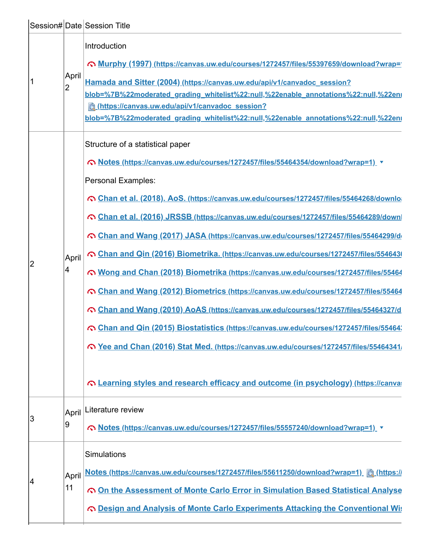|    |                         | Session# Date Session Title                                                                                                                                                                                                                                                                                                                                                                                                                                                                                                                                                                                                                                                                                                                                                                                                                                                                                                                                                                                                                              |
|----|-------------------------|----------------------------------------------------------------------------------------------------------------------------------------------------------------------------------------------------------------------------------------------------------------------------------------------------------------------------------------------------------------------------------------------------------------------------------------------------------------------------------------------------------------------------------------------------------------------------------------------------------------------------------------------------------------------------------------------------------------------------------------------------------------------------------------------------------------------------------------------------------------------------------------------------------------------------------------------------------------------------------------------------------------------------------------------------------|
| 1  | April<br>$\overline{2}$ | Introduction<br>Comparison Murphy (1997) (https://canvas.uw.edu/courses/1272457/files/55397659/download?wrap=<br>Hamada and Sitter (2004) (https://canvas.uw.edu/api/v1/canvadoc_session?<br>blob=%7B%22moderated_grading_whitelist%22:null,%22enable_annotations%22:null,%22eni<br>https://canvas.uw.edu/api/v1/canvadoc_session?<br>blob=%7B%22moderated_grading_whitelist%22:null,%22enable_annotations%22:null,%22enr                                                                                                                                                                                                                                                                                                                                                                                                                                                                                                                                                                                                                                |
| 2  | April<br>4              | Structure of a statistical paper<br>© Notes (https://canvas.uw.edu/courses/1272457/files/55464354/download?wrap=1) v<br>Personal Examples:<br>Chan et al. (2018). AoS. (https://canvas.uw.edu/courses/1272457/files/55464268/downlo<br>Chan et al. (2016) JRSSB (https://canvas.uw.edu/courses/1272457/files/55464289/down<br>Chan and Wang (2017) JASA (https://canvas.uw.edu/courses/1272457/files/55464299/d<br>Chan and Qin (2016) Biometrika. (https://canvas.uw.edu/courses/1272457/files/554643)<br>⊙ Wong and Chan (2018) Biometrika (https://canvas.uw.edu/courses/1272457/files/55464<br>Chan and Wang (2012) Biometrics (https://canvas.uw.edu/courses/1272457/files/55464<br>Chan and Wang (2010) AoAS (https://canvas.uw.edu/courses/1272457/files/55464327/d<br>Chan and Qin (2015) Biostatistics (https://canvas.uw.edu/courses/1272457/files/55464;<br>Ree and Chan (2016) Stat Med. (https://canvas.uw.edu/courses/1272457/files/55464341/<br>Containing styles and research efficacy and outcome (in psychology) (https://canvaretyles |
| 3  | April<br>9              | Literature review<br>© Notes (https://canvas.uw.edu/courses/1272457/files/55557240/download?wrap=1)                                                                                                                                                                                                                                                                                                                                                                                                                                                                                                                                                                                                                                                                                                                                                                                                                                                                                                                                                      |
| 14 | April<br>11             | Simulations<br>Notes (https://canvas.uw.edu/courses/1272457/files/55611250/download?wrap=1)<br>On the Assessment of Monte Carlo Error in Simulation Based Statistical Analyse<br>Co Design and Analysis of Monte Carlo Experiments Attacking the Conventional Wis                                                                                                                                                                                                                                                                                                                                                                                                                                                                                                                                                                                                                                                                                                                                                                                        |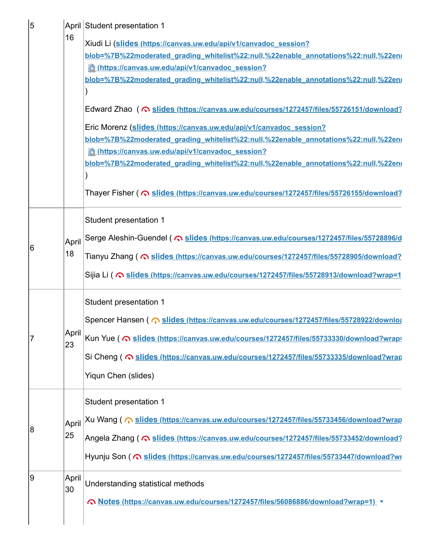|   |             | April Student presentation 1                                                              |
|---|-------------|-------------------------------------------------------------------------------------------|
|   | 16          | Xiudi Li (slides (https://canvas.uw.edu/api/v1/canvadoc session?                          |
|   |             | blob=%7B%22moderated_grading_whitelist%22:null,%22enable_annotations%22:null,%22en        |
|   |             | chttps://canvas.uw.edu/api/v1/canvadoc_session?                                           |
|   |             | blob=%7B%22moderated_grading_whitelist%22:null,%22enable_annotations%22:null,%22en        |
|   |             |                                                                                           |
|   |             | Edward Zhao ( C slides (https://canvas.uw.edu/courses/1272457/files/55726151/download?    |
|   |             | Eric Morenz (slides (https://canvas.uw.edu/api/v1/canvadoc session?                       |
|   |             | blob=%7B%22moderated_grading_whitelist%22:null,%22enable_annotations%22:null,%22en        |
|   |             | complete that the session?                                                                |
|   |             | blob=%7B%22moderated_grading_whitelist%22:null,%22enable_annotations%22:null,%22en        |
|   |             | Thayer Fisher ( C slides (https://canvas.uw.edu/courses/1272457/files/55726155/download?  |
|   |             | Student presentation 1                                                                    |
|   | April       |                                                                                           |
| 6 | 18          | Tianyu Zhang ( C slides (https://canvas.uw.edu/courses/1272457/files/55728905/download?   |
|   |             |                                                                                           |
|   |             | Sijia Li ( C slides (https://canvas.uw.edu/courses/1272457/files/55728913/download?wrap=1 |
|   |             | Student presentation 1                                                                    |
|   |             | Spencer Hansen ( @ slides (https://canvas.uw.edu/courses/1272457/files/55728922/downloa   |
| 7 | April<br>23 | Kun Yue ( <>> Slides (https://canvas.uw.edu/courses/1272457/files/55733330/download?wrap  |
|   |             | Si Cheng ( Costides (https://canvas.uw.edu/courses/1272457/files/55733335/download?wrap   |
|   |             | Yiqun Chen (slides)                                                                       |
|   |             |                                                                                           |
|   |             | Student presentation 1                                                                    |
|   | April       | Xu Wang ( @ slides (https://canvas.uw.edu/courses/1272457/files/55733456/download?wrap    |
| 8 | 25          | Angela Zhang ( @ slides (https://canvas.uw.edu/courses/1272457/files/55733452/download?   |
|   |             | Hyunju Son ( C slides (https://canvas.uw.edu/courses/1272457/files/55733447/download?wr   |
|   |             |                                                                                           |
| 9 | April<br>30 | Understanding statistical methods                                                         |
|   |             | Notes (https://canvas.uw.edu/courses/1272457/files/56086886/download?wrap=1) v            |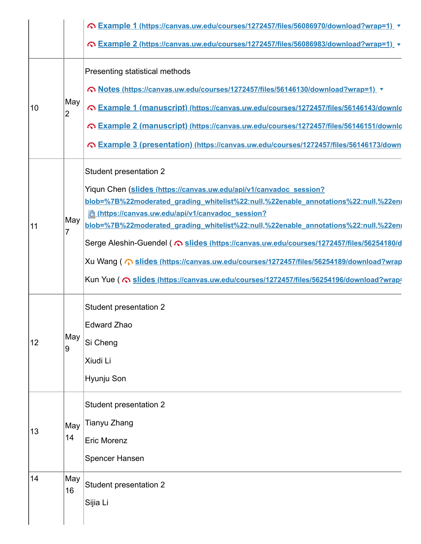|    |                       | © Example 1 (https://canvas.uw.edu/courses/1272457/files/56086970/download?wrap=1) $\rightarrow$<br>C Example 2 (https://canvas.uw.edu/courses/1272457/files/56086983/download?wrap=1) v                                                                                                                                                                                                                                                                                                                                                                                                                                     |
|----|-----------------------|------------------------------------------------------------------------------------------------------------------------------------------------------------------------------------------------------------------------------------------------------------------------------------------------------------------------------------------------------------------------------------------------------------------------------------------------------------------------------------------------------------------------------------------------------------------------------------------------------------------------------|
| 10 | May<br>$\overline{2}$ | Presenting statistical methods<br>© Notes (https://canvas.uw.edu/courses/1272457/files/56146130/download?wrap=1)<br>C Example 1 (manuscript) (https://canvas.uw.edu/courses/1272457/files/56146143/downlo<br>Comple 2 (manuscript) (https://canvas.uw.edu/courses/1272457/files/56146151/downlog<br>Comple 3 (presentation) (https://canvas.uw.edu/courses/1272457/files/56146173/down                                                                                                                                                                                                                                       |
| 11 | May<br>7              | <b>Student presentation 2</b><br>Yiqun Chen (slides (https://canvas.uw.edu/api/v1/canvadoc session?<br>blob=%7B%22moderated_grading_whitelist%22:null,%22enable_annotations%22:null,%22en<br>chttps://canvas.uw.edu/api/v1/canvadoc_session?<br>blob=%7B%22moderated_grading_whitelist%22:null,%22enable_annotations%22:null,%22eni<br>Serge Aleshin-Guendel ( Co slides (https://canvas.uw.edu/courses/1272457/files/56254180/d<br>Xu Wang ( m slides (https://canvas.uw.edu/courses/1272457/files/56254189/download?wrap<br>Kun Yue ( Constitute Sides (https://canvas.uw.edu/courses/1272457/files/56254196/download?wrap |
| 12 | May<br>9              | <b>Student presentation 2</b><br>Edward Zhao<br>Si Cheng<br>Xiudi Li<br>Hyunju Son                                                                                                                                                                                                                                                                                                                                                                                                                                                                                                                                           |
| 13 | May<br>14             | <b>Student presentation 2</b><br>Tianyu Zhang<br><b>Eric Morenz</b><br>Spencer Hansen                                                                                                                                                                                                                                                                                                                                                                                                                                                                                                                                        |
| 14 | May<br>16             | <b>Student presentation 2</b><br>Sijia Li                                                                                                                                                                                                                                                                                                                                                                                                                                                                                                                                                                                    |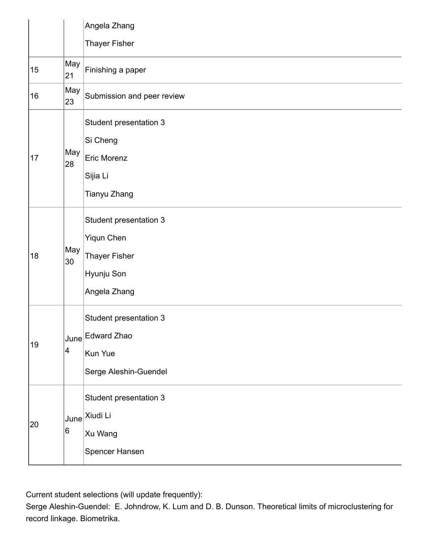|    |                         | Angela Zhang                                                                               |
|----|-------------------------|--------------------------------------------------------------------------------------------|
|    |                         | <b>Thayer Fisher</b>                                                                       |
| 15 | May<br>21               | Finishing a paper                                                                          |
| 16 | May<br>23               | Submission and peer review                                                                 |
| 17 | May<br>28               | Student presentation 3<br>Si Cheng<br>Eric Morenz<br>Sijia Li<br>Tianyu Zhang              |
| 18 | May<br>30               | Student presentation 3<br>Yiqun Chen<br><b>Thayer Fisher</b><br>Hyunju Son<br>Angela Zhang |
| 19 | $\overline{\mathbf{4}}$ | Student presentation 3<br>June Edward Zhao<br>Kun Yue<br>Serge Aleshin-Guendel             |
| 20 | June<br>6               | Student presentation 3<br>Xiudi Li<br>Xu Wang<br>Spencer Hansen                            |

Current student selections (will update frequently):

Serge Aleshin-Guendel: E. Johndrow, K. Lum and D. B. Dunson. Theoretical limits of microclustering for record linkage. Biometrika.